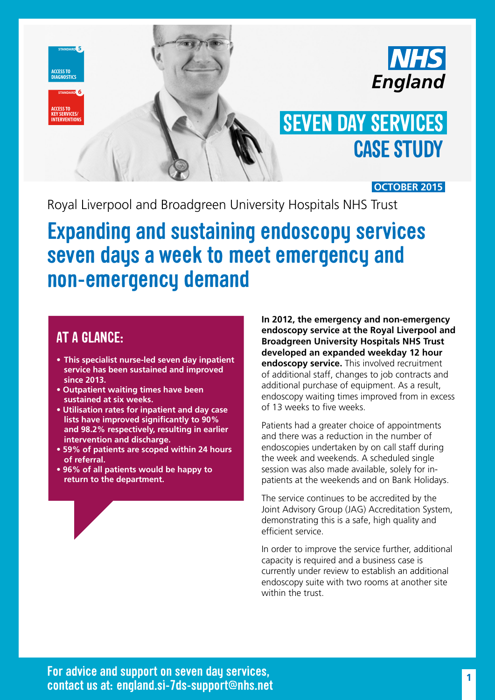



# **CASE STUDY SEVEN DAY SERVICES**

**OCTOBER 2015**

Royal Liverpool and Broadgreen University Hospitals NHS Trust

## **Expanding and sustaining endoscopy services seven days a week to meet emergency and non-emergency demand**

#### **AT A GLANCE:**

**PRIMARY & SOCIAL CARE**

**SHIFT HANDOVERS**

- **• This specialist nurse-led seven day inpatient service has been sustained and improved since 2013.**
- **Outpatient waiting times have been sustained at six weeks.**
- **Utilisation rates for inpatient and day case lists have improved significantly to 90% and 98.2% respectively, resulting in earlier intervention and discharge.**
- **59% of patients are scoped within 24 hours of referral.**
- **96% of all patients would be happy to return to the department.**

**In 2012, the emergency and non-emergency endoscopy service at the Royal Liverpool and Broadgreen University Hospitals NHS Trust developed an expanded weekday 12 hour endoscopy service.** This involved recruitment of additional staff, changes to job contracts and additional purchase of equipment. As a result, endoscopy waiting times improved from in excess of 13 weeks to five weeks.

Patients had a greater choice of appointments and there was a reduction in the number of endoscopies undertaken by on call staff during the week and weekends. A scheduled single session was also made available, solely for inpatients at the weekends and on Bank Holidays.

The service continues to be accredited by the Joint Advisory Group (JAG) Accreditation System, demonstrating this is a safe, high quality and efficient service.

In order to improve the service further, additional capacity is required and a business case is currently under review to establish an additional endoscopy suite with two rooms at another site within the trust.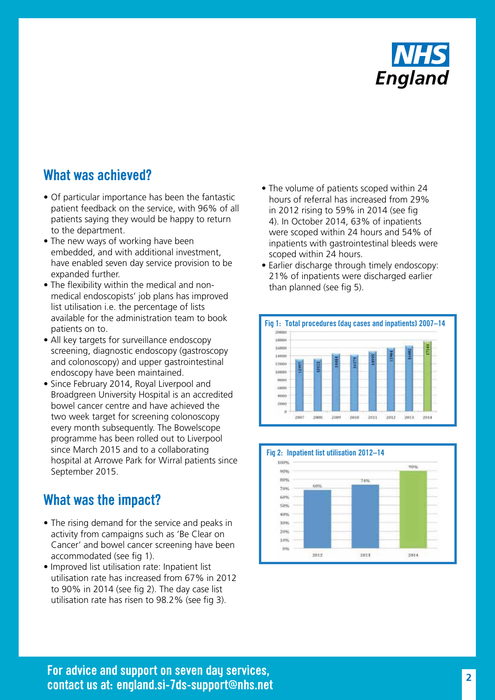

#### **What was achieved?**

- Of particular importance has been the fantastic patient feedback on the service, with 96% of all patients saying they would be happy to return to the department.
- The new ways of working have been embedded, and with additional investment, have enabled seven day service provision to be expanded further.
- The flexibility within the medical and nonmedical endoscopists' job plans has improved list utilisation i.e. the percentage of lists available for the administration team to book patients on to.
- All key targets for surveillance endoscopy screening, diagnostic endoscopy (gastroscopy and colonoscopy) and upper gastrointestinal endoscopy have been maintained.
- Since February 2014, Royal Liverpool and Broadgreen University Hospital is an accredited bowel cancer centre and have achieved the two week target for screening colonoscopy every month subsequently. The Bowelscope programme has been rolled out to Liverpool since March 2015 and to a collaborating hospital at Arrowe Park for Wirral patients since September 2015.

#### **What was the impact?**

- The rising demand for the service and peaks in activity from campaigns such as 'Be Clear on Cancer' and bowel cancer screening have been accommodated (see fig 1).
- Improved list utilisation rate: Inpatient list utilisation rate has increased from 67% in 2012 to 90% in 2014 (see fig 2). The day case list utilisation rate has risen to 98.2% (see fig 3).
- The volume of patients scoped within 24 hours of referral has increased from 29% in 2012 rising to 59% in 2014 (see fig 4). In October 2014, 63% of inpatients were scoped within 24 hours and 54% of inpatients with gastrointestinal bleeds were scoped within 24 hours.
- Earlier discharge through timely endoscopy: 21% of inpatients were discharged earlier than planned (see fig 5).